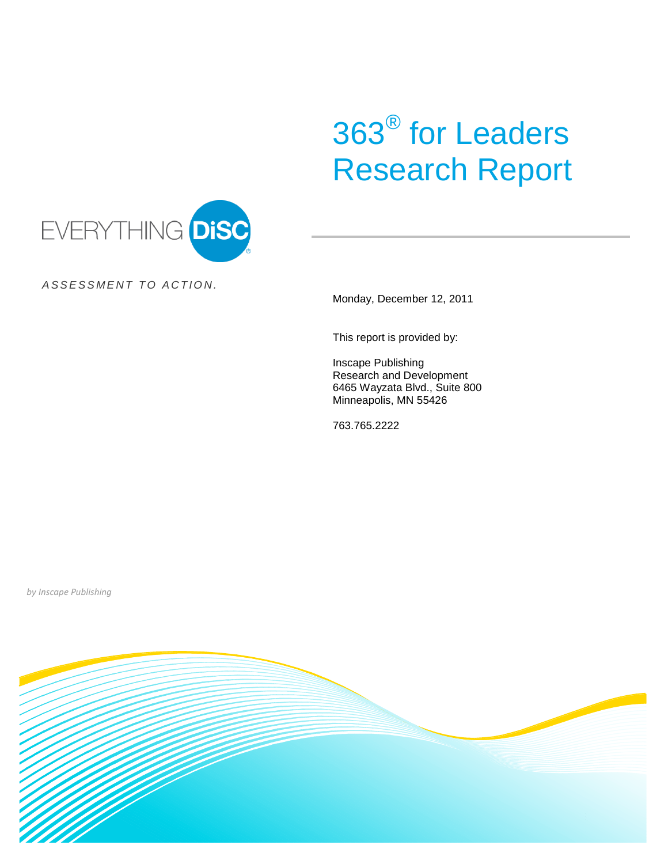# 363® for Leaders Research Report



*A S S E S S M E N T T O A C T I O N .*

Monday, December 12, 2011

This report is provided by:

Inscape Publishing Research and Development 6465 Wayzata Blvd., Suite 800 Minneapolis, MN 55426

763.765.2222

*by Inscape Publishing*

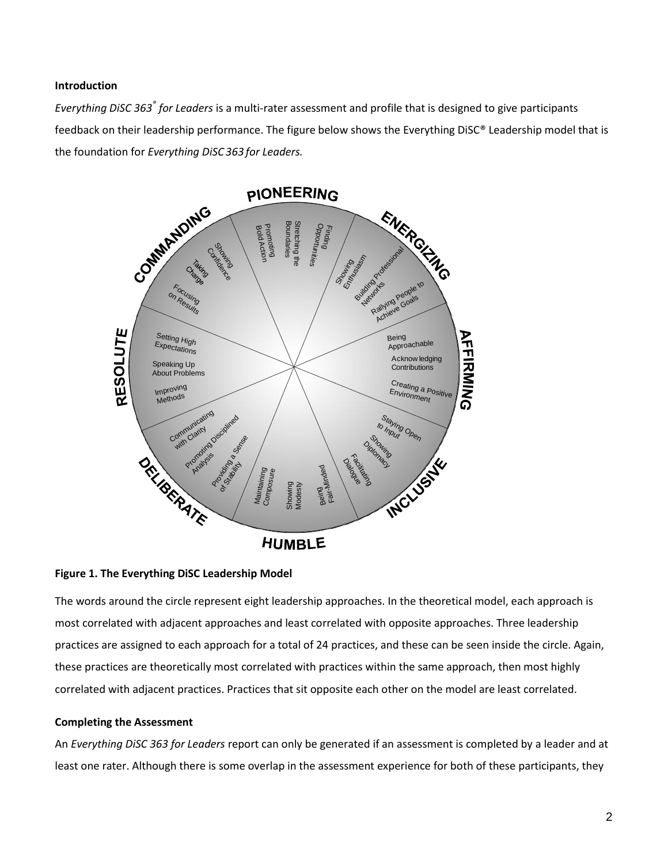# **Introduction**

*Everything DiSC 363® for Leaders* is a multi-rater assessment and profile that is designed to give participants feedback on their leadership performance. The figure below shows the Everything DiSC® Leadership model that is the foundation for *Everything DiSC 363 for Leaders.*



**Figure 1. The Everything DiSC Leadership Model**

The words around the circle represent eight leadership approaches. In the theoretical model, each approach is most correlated with adjacent approaches and least correlated with opposite approaches. Three leadership practices are assigned to each approach for a total of 24 practices, and these can be seen inside the circle. Again, these practices are theoretically most correlated with practices within the same approach, then most highly correlated with adjacent practices. Practices that sit opposite each other on the model are least correlated.

# **Completing the Assessment**

An *Everything DiSC 363 for Leaders* report can only be generated if an assessment is completed by a leader and at least one rater. Although there is some overlap in the assessment experience for both of these participants, they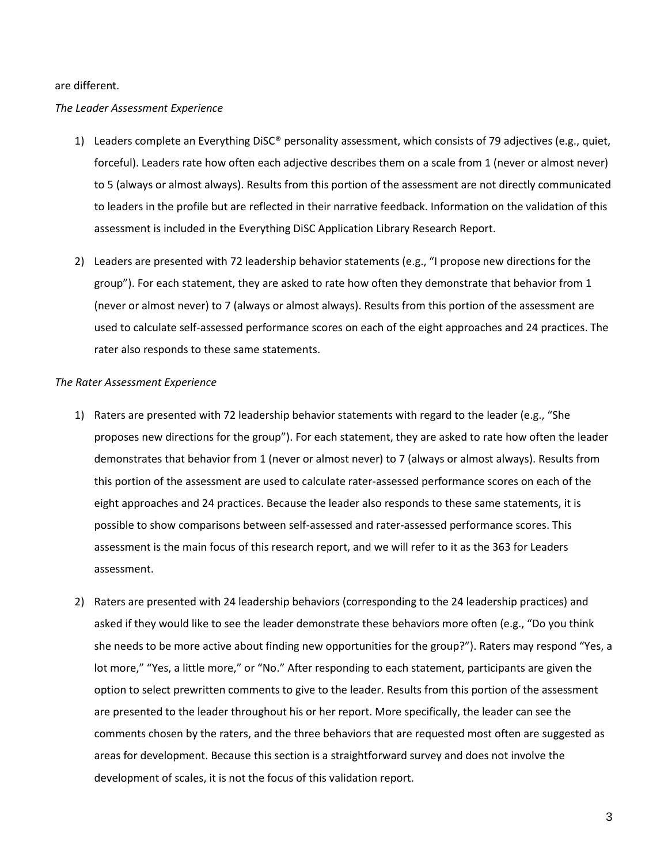#### are different.

## *The Leader Assessment Experience*

- 1) Leaders complete an Everything DiSC® personality assessment, which consists of 79 adjectives (e.g., quiet, forceful). Leaders rate how often each adjective describes them on a scale from 1 (never or almost never) to 5 (always or almost always). Results from this portion of the assessment are not directly communicated to leaders in the profile but are reflected in their narrative feedback. Information on the validation of this assessment is included in the Everything DiSC Application Library Research Report.
- 2) Leaders are presented with 72 leadership behavior statements (e.g., "I propose new directions for the group"). For each statement, they are asked to rate how often they demonstrate that behavior from 1 (never or almost never) to 7 (always or almost always). Results from this portion of the assessment are used to calculate self-assessed performance scores on each of the eight approaches and 24 practices. The rater also responds to these same statements.

#### *The Rater Assessment Experience*

- 1) Raters are presented with 72 leadership behavior statements with regard to the leader (e.g., "She proposes new directions for the group"). For each statement, they are asked to rate how often the leader demonstrates that behavior from 1 (never or almost never) to 7 (always or almost always). Results from this portion of the assessment are used to calculate rater-assessed performance scores on each of the eight approaches and 24 practices. Because the leader also responds to these same statements, it is possible to show comparisons between self-assessed and rater-assessed performance scores. This assessment is the main focus of this research report, and we will refer to it as the 363 for Leaders assessment.
- 2) Raters are presented with 24 leadership behaviors (corresponding to the 24 leadership practices) and asked if they would like to see the leader demonstrate these behaviors more often (e.g., "Do you think she needs to be more active about finding new opportunities for the group?"). Raters may respond "Yes, a lot more," "Yes, a little more," or "No." After responding to each statement, participants are given the option to select prewritten comments to give to the leader. Results from this portion of the assessment are presented to the leader throughout his or her report. More specifically, the leader can see the comments chosen by the raters, and the three behaviors that are requested most often are suggested as areas for development. Because this section is a straightforward survey and does not involve the development of scales, it is not the focus of this validation report.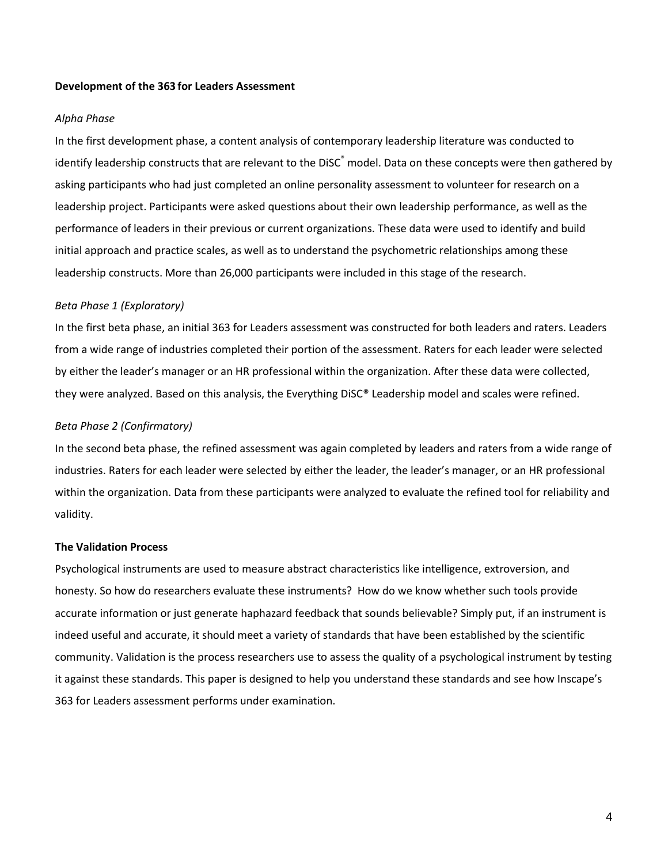#### **Development of the 363 for Leaders Assessment**

#### *Alpha Phase*

In the first development phase, a content analysis of contemporary leadership literature was conducted to identify leadership constructs that are relevant to the DiSC® model. Data on these concepts were then gathered by asking participants who had just completed an online personality assessment to volunteer for research on a leadership project. Participants were asked questions about their own leadership performance, as well as the performance of leaders in their previous or current organizations. These data were used to identify and build initial approach and practice scales, as well as to understand the psychometric relationships among these leadership constructs. More than 26,000 participants were included in this stage of the research.

# *Beta Phase 1 (Exploratory)*

In the first beta phase, an initial 363 for Leaders assessment was constructed for both leaders and raters. Leaders from a wide range of industries completed their portion of the assessment. Raters for each leader were selected by either the leader's manager or an HR professional within the organization. After these data were collected, they were analyzed. Based on this analysis, the Everything DiSC® Leadership model and scales were refined.

## *Beta Phase 2 (Confirmatory)*

In the second beta phase, the refined assessment was again completed by leaders and raters from a wide range of industries. Raters for each leader were selected by either the leader, the leader's manager, or an HR professional within the organization. Data from these participants were analyzed to evaluate the refined tool for reliability and validity.

#### **The Validation Process**

Psychological instruments are used to measure abstract characteristics like intelligence, extroversion, and honesty. So how do researchers evaluate these instruments? How do we know whether such tools provide accurate information or just generate haphazard feedback that sounds believable? Simply put, if an instrument is indeed useful and accurate, it should meet a variety of standards that have been established by the scientific community. Validation is the process researchers use to assess the quality of a psychological instrument by testing it against these standards. This paper is designed to help you understand these standards and see how Inscape's 363 for Leaders assessment performs under examination.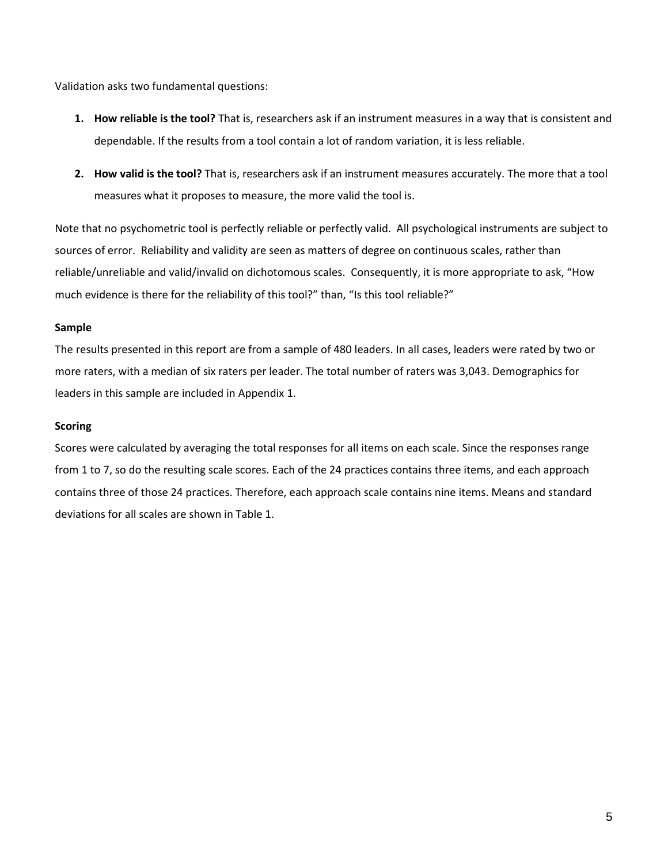Validation asks two fundamental questions:

- **1. How reliable is the tool?** That is, researchers ask if an instrument measures in a way that is consistent and dependable. If the results from a tool contain a lot of random variation, it is less reliable.
- **2. How valid is the tool?** That is, researchers ask if an instrument measures accurately. The more that a tool measures what it proposes to measure, the more valid the tool is.

Note that no psychometric tool is perfectly reliable or perfectly valid. All psychological instruments are subject to sources of error. Reliability and validity are seen as matters of degree on continuous scales, rather than reliable/unreliable and valid/invalid on dichotomous scales. Consequently, it is more appropriate to ask, "How much evidence is there for the reliability of this tool?" than, "Is this tool reliable?"

# **Sample**

The results presented in this report are from a sample of 480 leaders. In all cases, leaders were rated by two or more raters, with a median of six raters per leader. The total number of raters was 3,043. Demographics for leaders in this sample are included in Appendix 1.

# **Scoring**

Scores were calculated by averaging the total responses for all items on each scale. Since the responses range from 1 to 7, so do the resulting scale scores. Each of the 24 practices contains three items, and each approach contains three of those 24 practices. Therefore, each approach scale contains nine items. Means and standard deviations for all scales are shown in Table 1.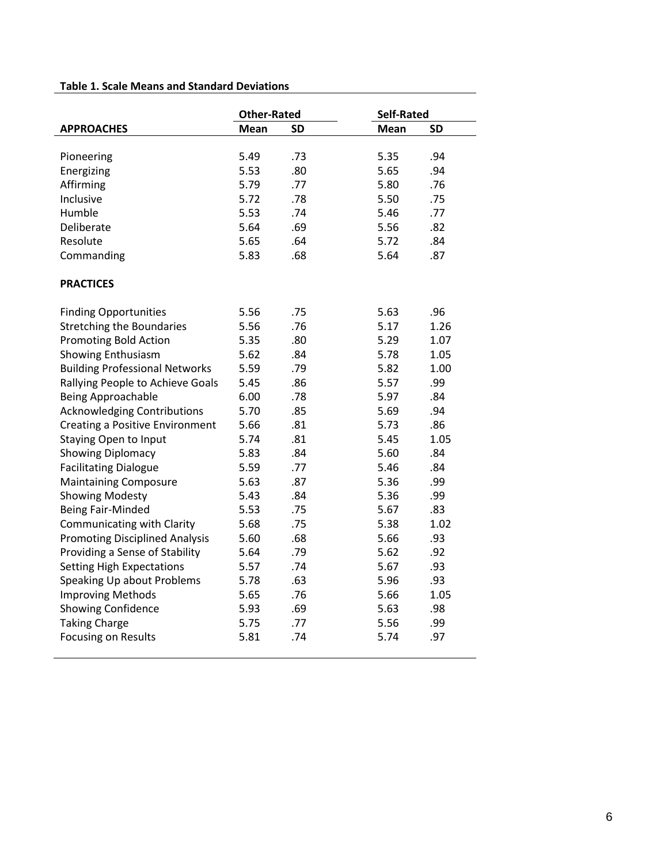# **Table 1. Scale Means and Standard Deviations**

|                                        | <b>Other-Rated</b> |           | Self-Rated |           |  |  |
|----------------------------------------|--------------------|-----------|------------|-----------|--|--|
| <b>APPROACHES</b>                      | Mean               | <b>SD</b> | Mean       | <b>SD</b> |  |  |
|                                        |                    |           |            |           |  |  |
| Pioneering                             | 5.49               | .73       | 5.35       | .94       |  |  |
| Energizing                             | 5.53               | .80       | 5.65       | .94       |  |  |
| Affirming                              | 5.79               | .77       | 5.80       | .76       |  |  |
| Inclusive                              | 5.72               | .78       | 5.50       | .75       |  |  |
| Humble                                 | 5.53               | .74       | 5.46       | .77       |  |  |
| Deliberate                             | 5.64               | .69       | 5.56       | .82       |  |  |
| Resolute                               | 5.65               | .64       | 5.72       | .84       |  |  |
| Commanding                             | 5.83               | .68       | 5.64       | .87       |  |  |
| <b>PRACTICES</b>                       |                    |           |            |           |  |  |
| <b>Finding Opportunities</b>           | 5.56               | .75       | 5.63       | .96       |  |  |
| <b>Stretching the Boundaries</b>       | 5.56               | .76       | 5.17       | 1.26      |  |  |
| <b>Promoting Bold Action</b>           | 5.35               | .80       | 5.29       | 1.07      |  |  |
| <b>Showing Enthusiasm</b>              | 5.62               | .84       | 5.78       | 1.05      |  |  |
| <b>Building Professional Networks</b>  | 5.59               | .79       | 5.82       | 1.00      |  |  |
| Rallying People to Achieve Goals       | 5.45               | .86       | 5.57       | .99       |  |  |
| <b>Being Approachable</b>              | 6.00               | .78       | 5.97       | .84       |  |  |
| <b>Acknowledging Contributions</b>     | 5.70               | .85       | 5.69       | .94       |  |  |
| <b>Creating a Positive Environment</b> | 5.66               | .81       | 5.73       | .86       |  |  |
| <b>Staying Open to Input</b>           | 5.74               | .81       | 5.45       | 1.05      |  |  |
| <b>Showing Diplomacy</b>               | 5.83               | .84       | 5.60       | .84       |  |  |
| <b>Facilitating Dialogue</b>           | 5.59               | .77       | 5.46       | .84       |  |  |
| <b>Maintaining Composure</b>           | 5.63               | .87       | 5.36       | .99       |  |  |
| <b>Showing Modesty</b>                 | 5.43               | .84       | 5.36       | .99       |  |  |
| <b>Being Fair-Minded</b>               | 5.53               | .75       | 5.67       | .83       |  |  |
| Communicating with Clarity             | 5.68               | .75       | 5.38       | 1.02      |  |  |
| <b>Promoting Disciplined Analysis</b>  | 5.60               | .68       | 5.66       | .93       |  |  |
| Providing a Sense of Stability         | 5.64               | .79       | 5.62       | .92       |  |  |
| <b>Setting High Expectations</b>       | 5.57               | .74       | 5.67       | .93       |  |  |
| Speaking Up about Problems             | 5.78               | .63       | 5.96       | .93       |  |  |
| <b>Improving Methods</b>               | 5.65               | .76       | 5.66       | 1.05      |  |  |
| <b>Showing Confidence</b>              | 5.93               | .69       | 5.63       | .98       |  |  |
| <b>Taking Charge</b>                   | 5.75               | .77       | 5.56       | .99       |  |  |
| <b>Focusing on Results</b>             | 5.81               | .74       | 5.74       | .97       |  |  |
|                                        |                    |           |            |           |  |  |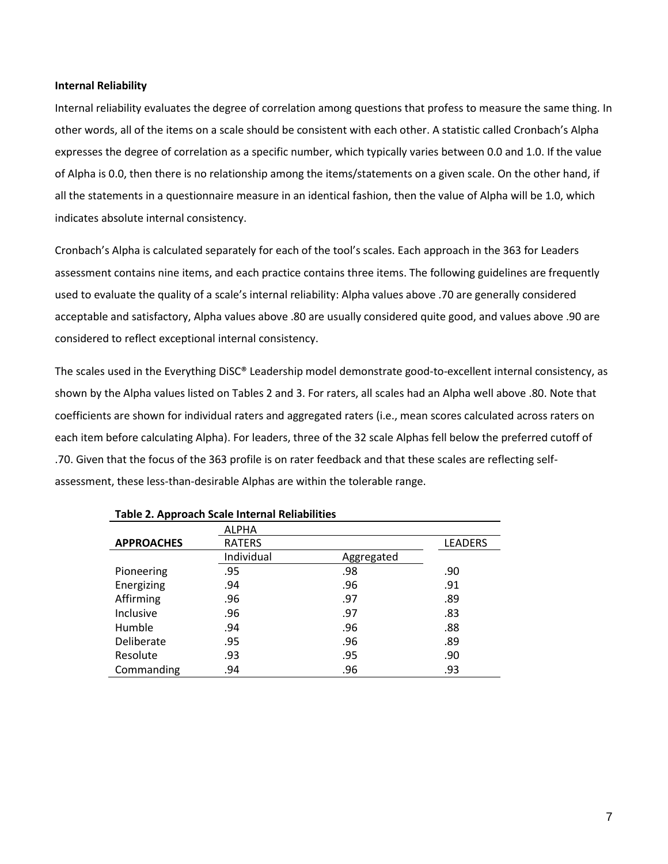## **Internal Reliability**

Internal reliability evaluates the degree of correlation among questions that profess to measure the same thing. In other words, all of the items on a scale should be consistent with each other. A statistic called Cronbach's Alpha expresses the degree of correlation as a specific number, which typically varies between 0.0 and 1.0. If the value of Alpha is 0.0, then there is no relationship among the items/statements on a given scale. On the other hand, if all the statements in a questionnaire measure in an identical fashion, then the value of Alpha will be 1.0, which indicates absolute internal consistency.

Cronbach's Alpha is calculated separately for each of the tool's scales. Each approach in the 363 for Leaders assessment contains nine items, and each practice contains three items. The following guidelines are frequently used to evaluate the quality of a scale's internal reliability: Alpha values above .70 are generally considered acceptable and satisfactory, Alpha values above .80 are usually considered quite good, and values above .90 are considered to reflect exceptional internal consistency.

The scales used in the Everything DiSC® Leadership model demonstrate good-to-excellent internal consistency, as shown by the Alpha values listed on Tables 2 and 3. For raters, all scales had an Alpha well above .80. Note that coefficients are shown for individual raters and aggregated raters (i.e., mean scores calculated across raters on each item before calculating Alpha). For leaders, three of the 32 scale Alphas fell below the preferred cutoff of .70. Given that the focus of the 363 profile is on rater feedback and that these scales are reflecting selfassessment, these less-than-desirable Alphas are within the tolerable range.

|                   | <b>ALPHA</b>  |            |                |
|-------------------|---------------|------------|----------------|
| <b>APPROACHES</b> | <b>RATERS</b> |            | <b>LEADERS</b> |
|                   | Individual    | Aggregated |                |
| Pioneering        | .95           | .98        | .90            |
| Energizing        | .94           | .96        | .91            |
| Affirming         | .96           | .97        | .89            |
| Inclusive         | .96           | .97        | .83            |
| Humble            | .94           | .96        | .88            |
| Deliberate        | .95           | .96        | .89            |
| Resolute          | .93           | .95        | .90            |
| Commanding        | .94           | .96        | .93            |

#### **Table 2. Approach Scale Internal Reliabilities**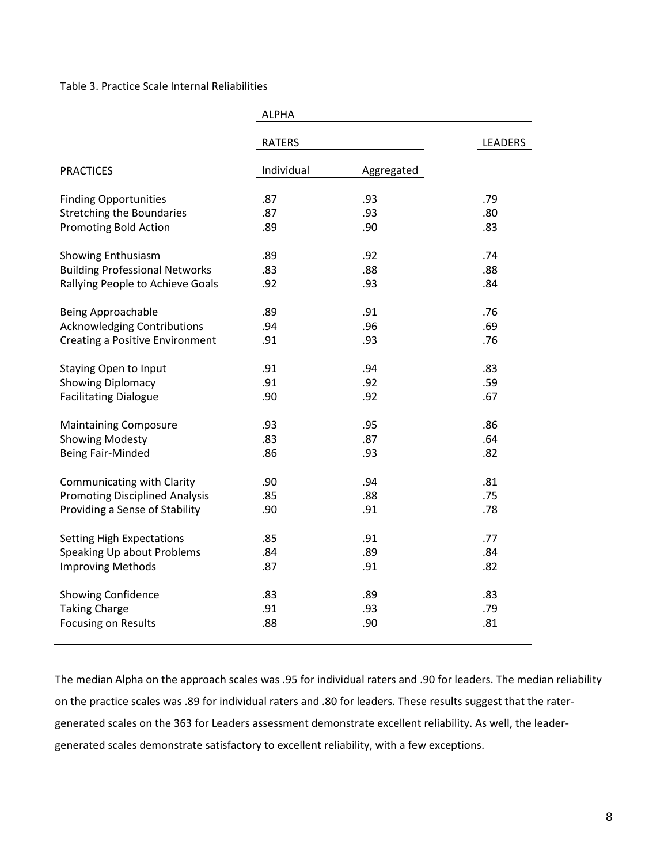### Table 3. Practice Scale Internal Reliabilities

|                                        | <b>ALPHA</b>  |                |     |
|----------------------------------------|---------------|----------------|-----|
|                                        | <b>RATERS</b> | <b>LEADERS</b> |     |
| <b>PRACTICES</b>                       | Individual    | Aggregated     |     |
| <b>Finding Opportunities</b>           | .87           | .93            | .79 |
| <b>Stretching the Boundaries</b>       | .87           | .93            | .80 |
| <b>Promoting Bold Action</b>           | .89           | .90            | .83 |
| Showing Enthusiasm                     | .89           | .92            | .74 |
| <b>Building Professional Networks</b>  | .83           | .88            | .88 |
| Rallying People to Achieve Goals       | .92           | .93            | .84 |
| <b>Being Approachable</b>              | .89           | .91            | .76 |
| <b>Acknowledging Contributions</b>     | .94           | .96            | .69 |
| <b>Creating a Positive Environment</b> | .91           | .93            | .76 |
| Staying Open to Input                  | .91           | .94            | .83 |
| <b>Showing Diplomacy</b>               | .91           | .92            | .59 |
| <b>Facilitating Dialogue</b>           | .90           | .92            | .67 |
| <b>Maintaining Composure</b>           | .93           | .95            | .86 |
| <b>Showing Modesty</b>                 | .83           | .87            | .64 |
| <b>Being Fair-Minded</b>               | .86           | .93            | .82 |
| Communicating with Clarity             | .90           | .94            | .81 |
| <b>Promoting Disciplined Analysis</b>  | .85           | .88            | .75 |
| Providing a Sense of Stability         | .90           | .91            | .78 |
| <b>Setting High Expectations</b>       | .85           | .91            | .77 |
| Speaking Up about Problems             | .84           | .89            | .84 |
| <b>Improving Methods</b>               | .87           | .91            | .82 |
| Showing Confidence                     | .83           | .89            | .83 |
| <b>Taking Charge</b>                   | .91           | .93            | .79 |
| Focusing on Results                    | .88           | .90            | .81 |

The median Alpha on the approach scales was .95 for individual raters and .90 for leaders. The median reliability on the practice scales was .89 for individual raters and .80 for leaders. These results suggest that the ratergenerated scales on the 363 for Leaders assessment demonstrate excellent reliability. As well, the leadergenerated scales demonstrate satisfactory to excellent reliability, with a few exceptions.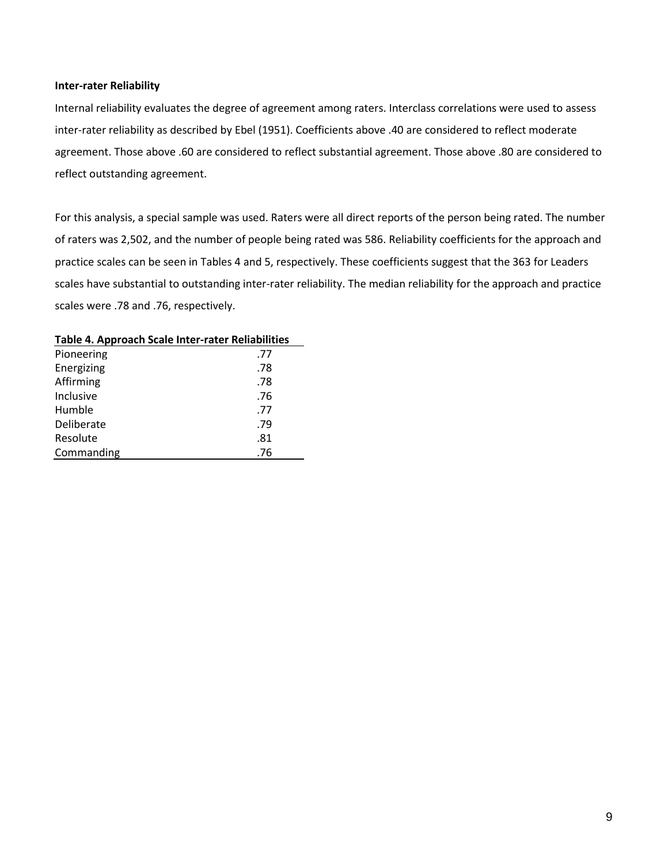#### **Inter-rater Reliability**

Internal reliability evaluates the degree of agreement among raters. Interclass correlations were used to assess inter-rater reliability as described by Ebel (1951). Coefficients above .40 are considered to reflect moderate agreement. Those above .60 are considered to reflect substantial agreement. Those above .80 are considered to reflect outstanding agreement.

For this analysis, a special sample was used. Raters were all direct reports of the person being rated. The number of raters was 2,502, and the number of people being rated was 586. Reliability coefficients for the approach and practice scales can be seen in Tables 4 and 5, respectively. These coefficients suggest that the 363 for Leaders scales have substantial to outstanding inter-rater reliability. The median reliability for the approach and practice scales were .78 and .76, respectively.

| Pioneering | .77 |
|------------|-----|
| Energizing | .78 |
| Affirming  | .78 |
| Inclusive  | .76 |
| Humble     | .77 |
| Deliberate | .79 |
| Resolute   | .81 |
| Commanding | .76 |
|            |     |

### **Table 4. Approach Scale Inter-rater Reliabilities**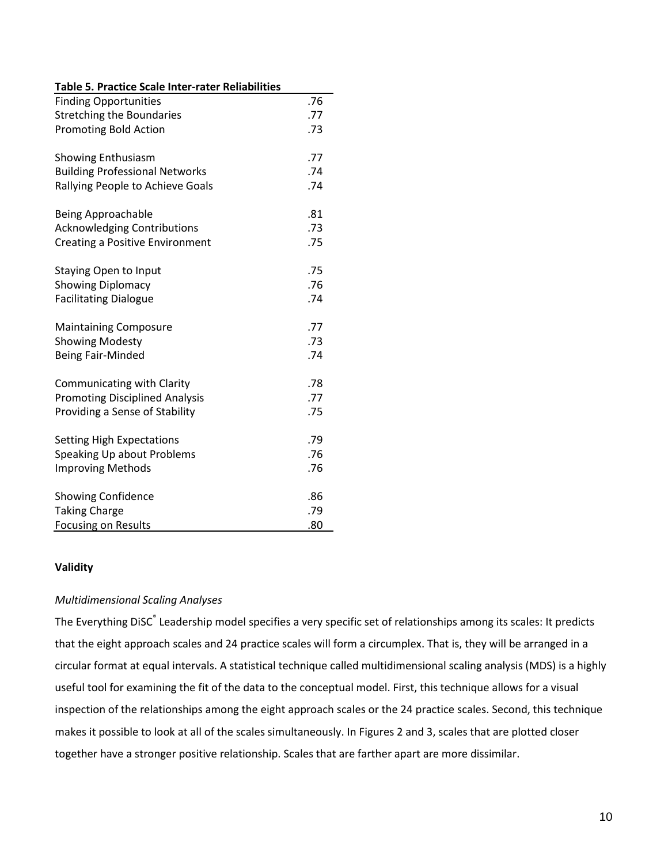| Table 5. Practice Scale Inter-rater Reliabilities              |     |  |  |  |  |  |  |
|----------------------------------------------------------------|-----|--|--|--|--|--|--|
| <b>Finding Opportunities</b>                                   | .76 |  |  |  |  |  |  |
| <b>Stretching the Boundaries</b>                               | .77 |  |  |  |  |  |  |
| <b>Promoting Bold Action</b>                                   |     |  |  |  |  |  |  |
|                                                                |     |  |  |  |  |  |  |
| <b>Showing Enthusiasm</b>                                      | .77 |  |  |  |  |  |  |
| <b>Building Professional Networks</b>                          | .74 |  |  |  |  |  |  |
| Rallying People to Achieve Goals                               | .74 |  |  |  |  |  |  |
| <b>Being Approachable</b>                                      | .81 |  |  |  |  |  |  |
| <b>Acknowledging Contributions</b>                             | .73 |  |  |  |  |  |  |
| Creating a Positive Environment                                | .75 |  |  |  |  |  |  |
|                                                                |     |  |  |  |  |  |  |
| <b>Staying Open to Input</b>                                   | .75 |  |  |  |  |  |  |
| <b>Showing Diplomacy</b>                                       | .76 |  |  |  |  |  |  |
| <b>Facilitating Dialogue</b>                                   | .74 |  |  |  |  |  |  |
|                                                                |     |  |  |  |  |  |  |
| <b>Maintaining Composure</b>                                   | .77 |  |  |  |  |  |  |
| <b>Showing Modesty</b>                                         | .73 |  |  |  |  |  |  |
| <b>Being Fair-Minded</b>                                       | .74 |  |  |  |  |  |  |
|                                                                |     |  |  |  |  |  |  |
| Communicating with Clarity                                     | .78 |  |  |  |  |  |  |
| <b>Promoting Disciplined Analysis</b>                          | .77 |  |  |  |  |  |  |
| Providing a Sense of Stability                                 | .75 |  |  |  |  |  |  |
|                                                                | .79 |  |  |  |  |  |  |
| <b>Setting High Expectations</b><br>Speaking Up about Problems | .76 |  |  |  |  |  |  |
| <b>Improving Methods</b>                                       | .76 |  |  |  |  |  |  |
|                                                                |     |  |  |  |  |  |  |
| <b>Showing Confidence</b>                                      | .86 |  |  |  |  |  |  |
| <b>Taking Charge</b>                                           | .79 |  |  |  |  |  |  |
| <b>Focusing on Results</b>                                     | .80 |  |  |  |  |  |  |

# **Validity**

# *Multidimensional Scaling Analyses*

The Everything DiSC<sup>®</sup> Leadership model specifies a very specific set of relationships among its scales: It predicts that the eight approach scales and 24 practice scales will form a circumplex. That is, they will be arranged in a circular format at equal intervals. A statistical technique called multidimensional scaling analysis (MDS) is a highly useful tool for examining the fit of the data to the conceptual model. First, this technique allows for a visual inspection of the relationships among the eight approach scales or the 24 practice scales. Second, this technique makes it possible to look at all of the scales simultaneously. In Figures 2 and 3, scales that are plotted closer together have a stronger positive relationship. Scales that are farther apart are more dissimilar.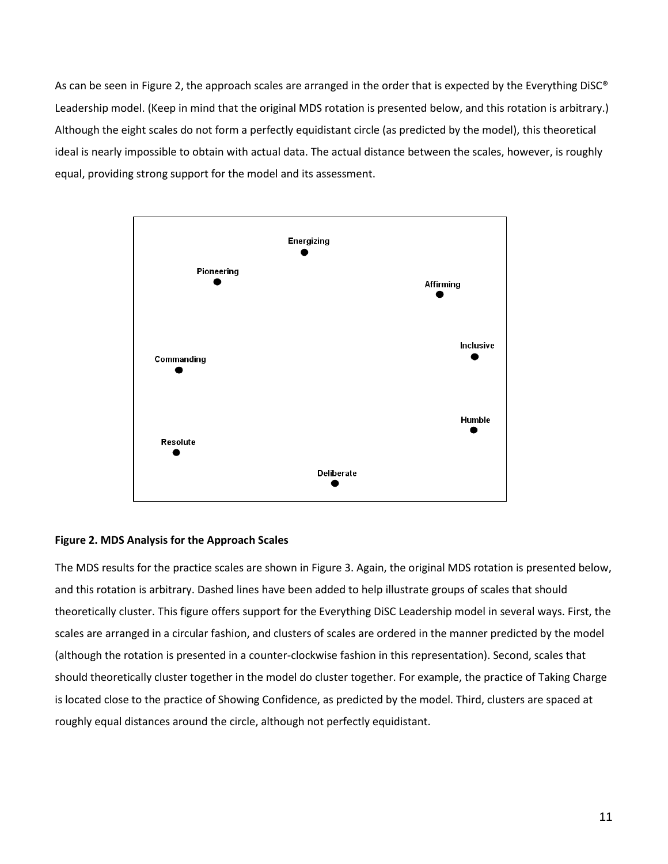As can be seen in Figure 2, the approach scales are arranged in the order that is expected by the Everything DiSC® Leadership model. (Keep in mind that the original MDS rotation is presented below, and this rotation is arbitrary.) Although the eight scales do not form a perfectly equidistant circle (as predicted by the model), this theoretical ideal is nearly impossible to obtain with actual data. The actual distance between the scales, however, is roughly equal, providing strong support for the model and its assessment.



# **Figure 2. MDS Analysis for the Approach Scales**

The MDS results for the practice scales are shown in Figure 3. Again, the original MDS rotation is presented below, and this rotation is arbitrary. Dashed lines have been added to help illustrate groups of scales that should theoretically cluster. This figure offers support for the Everything DiSC Leadership model in several ways. First, the scales are arranged in a circular fashion, and clusters of scales are ordered in the manner predicted by the model (although the rotation is presented in a counter-clockwise fashion in this representation). Second, scales that should theoretically cluster together in the model do cluster together. For example, the practice of Taking Charge is located close to the practice of Showing Confidence, as predicted by the model. Third, clusters are spaced at roughly equal distances around the circle, although not perfectly equidistant.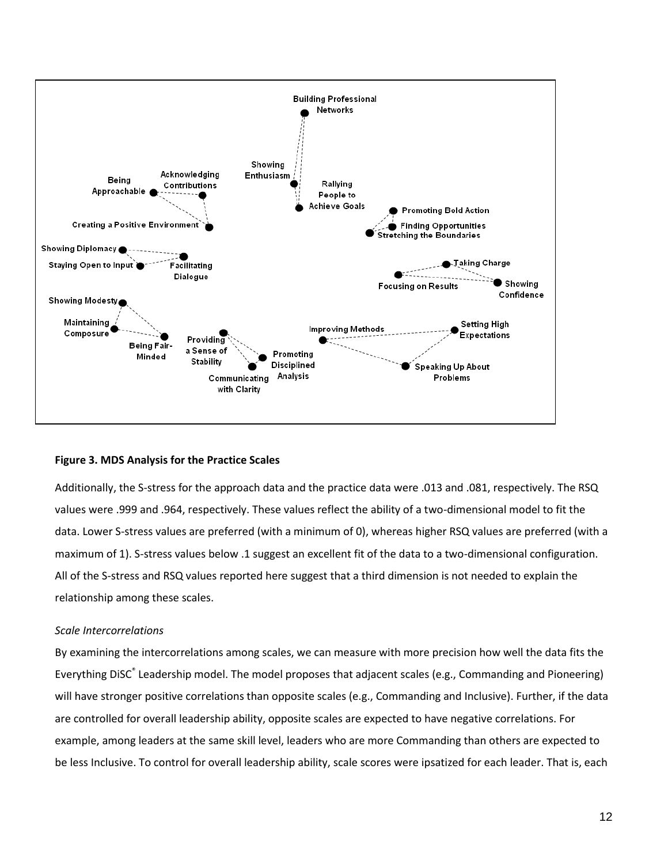

## **Figure 3. MDS Analysis for the Practice Scales**

Additionally, the S-stress for the approach data and the practice data were .013 and .081, respectively. The RSQ values were .999 and .964, respectively. These values reflect the ability of a two-dimensional model to fit the data. Lower S-stress values are preferred (with a minimum of 0), whereas higher RSQ values are preferred (with a maximum of 1). S-stress values below .1 suggest an excellent fit of the data to a two-dimensional configuration. All of the S-stress and RSQ values reported here suggest that a third dimension is not needed to explain the relationship among these scales.

## *Scale Intercorrelations*

By examining the intercorrelations among scales, we can measure with more precision how well the data fits the Everything DiSC<sup>®</sup> Leadership model. The model proposes that adjacent scales (e.g., Commanding and Pioneering) will have stronger positive correlations than opposite scales (e.g., Commanding and Inclusive). Further, if the data are controlled for overall leadership ability, opposite scales are expected to have negative correlations. For example, among leaders at the same skill level, leaders who are more Commanding than others are expected to be less Inclusive. To control for overall leadership ability, scale scores were ipsatized for each leader. That is, each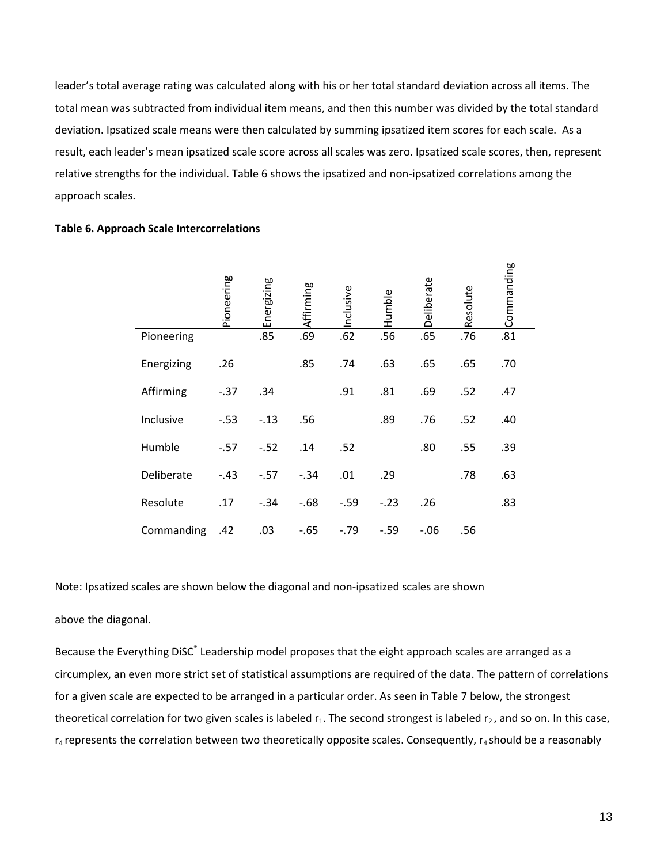leader's total average rating was calculated along with his or her total standard deviation across all items. The total mean was subtracted from individual item means, and then this number was divided by the total standard deviation. Ipsatized scale means were then calculated by summing ipsatized item scores for each scale. As a result, each leader's mean ipsatized scale score across all scales was zero. Ipsatized scale scores, then, represent relative strengths for the individual. Table 6 shows the ipsatized and non-ipsatized correlations among the approach scales.

|            | Pioneering | Energizing | Affirming | Inclusive | Humble | Deliberate | Resolute | Commanding |
|------------|------------|------------|-----------|-----------|--------|------------|----------|------------|
| Pioneering |            | .85        | .69       | .62       | .56    | .65        | .76      | .81        |
| Energizing | .26        |            | .85       | .74       | .63    | .65        | .65      | .70        |
| Affirming  | $-.37$     | .34        |           | .91       | .81    | .69        | .52      | .47        |
| Inclusive  | $-0.53$    | $-.13$     | .56       |           | .89    | .76        | .52      | .40        |
| Humble     | $-.57$     | $-.52$     | .14       | .52       |        | .80        | .55      | .39        |
| Deliberate | $-.43$     | $-.57$     | $-.34$    | .01       | .29    |            | .78      | .63        |
| Resolute   | .17        | $-.34$     | $-68$     | $-0.59$   | $-.23$ | .26        |          | .83        |
| Commanding | .42        | .03        | $-65$     | $-0.79$   | $-.59$ | $-0.06$    | .56      |            |

# **Table 6. Approach Scale Intercorrelations**

Note: Ipsatized scales are shown below the diagonal and non-ipsatized scales are shown

### above the diagonal.

Because the Everything DiSC<sup>®</sup> Leadership model proposes that the eight approach scales are arranged as a circumplex, an even more strict set of statistical assumptions are required of the data. The pattern of correlations for a given scale are expected to be arranged in a particular order. As seen in Table 7 below, the strongest theoretical correlation for two given scales is labeled  $r_1$ . The second strongest is labeled  $r_2$ , and so on. In this case,  $r_4$  represents the correlation between two theoretically opposite scales. Consequently,  $r_4$  should be a reasonably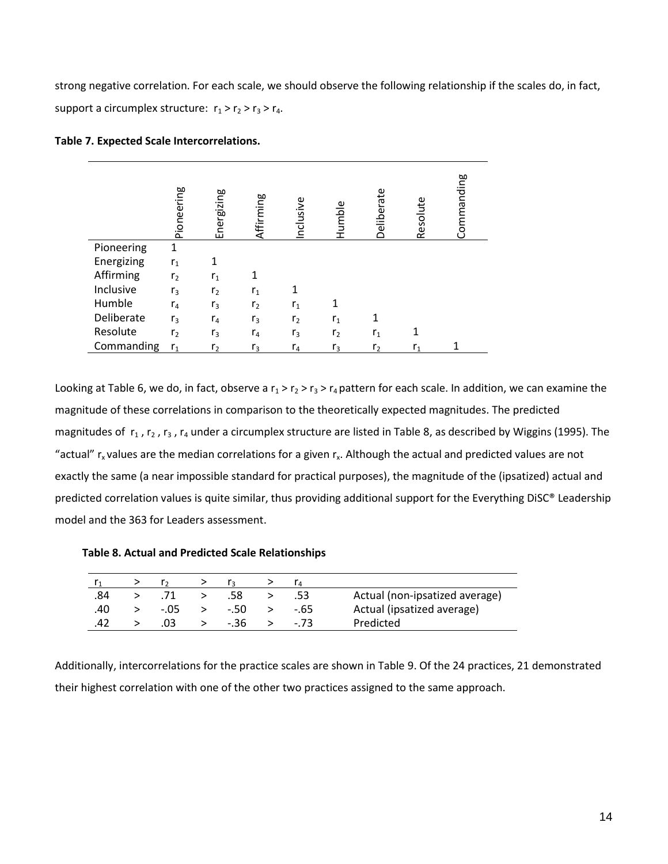strong negative correlation. For each scale, we should observe the following relationship if the scales do, in fact, support a circumplex structure:  $r_1 > r_2 > r_3 > r_4$ .

|            | Pioneering     | Energizing     | Affirming      | Inclusive      | Humble         | Deliberate     | Resolute | Commanding |
|------------|----------------|----------------|----------------|----------------|----------------|----------------|----------|------------|
| Pioneering | 1              |                |                |                |                |                |          |            |
| Energizing | r <sub>1</sub> |                |                |                |                |                |          |            |
| Affirming  | r <sub>2</sub> | r <sub>1</sub> |                |                |                |                |          |            |
| Inclusive  | r <sub>3</sub> | r <sub>2</sub> | r <sub>1</sub> |                |                |                |          |            |
| Humble     | $r_4$          | r <sub>3</sub> | r <sub>2</sub> | $r_{1}$        | 1              |                |          |            |
| Deliberate | r <sub>3</sub> | $r_4$          | $r_3$          | r <sub>2</sub> | r <sub>1</sub> |                |          |            |
| Resolute   | r <sub>2</sub> | r <sub>3</sub> | $r_4$          | $r_3$          | r <sub>2</sub> | r <sub>1</sub> |          |            |
| Commanding | $r_1$          | r <sub>2</sub> | $r_3$          | $r_4$          | $r_3$          | r <sub>2</sub> | r,       |            |

Looking at Table 6, we do, in fact, observe a  $r_1 > r_2 > r_3 > r_4$  pattern for each scale. In addition, we can examine the magnitude of these correlations in comparison to the theoretically expected magnitudes. The predicted magnitudes of  $r_1$ ,  $r_2$ ,  $r_3$ ,  $r_4$  under a circumplex structure are listed in Table 8, as described by Wiggins (1995). The "actual"  $r_x$  values are the median correlations for a given  $r_x$ . Although the actual and predicted values are not exactly the same (a near impossible standard for practical purposes), the magnitude of the (ipsatized) actual and predicted correlation values is quite similar, thus providing additional support for the Everything DiSC® Leadership model and the 363 for Leaders assessment.

**Table 8. Actual and Predicted Scale Relationships**

| .84 |        | .58    | - 53 | Actual (non-ipsatized average) |
|-----|--------|--------|------|--------------------------------|
| .40 | $-.05$ | $-.50$ | -.65 | Actual (ipsatized average)     |
| .42 | .03    | $-.36$ | - 73 | Predicted                      |

Additionally, intercorrelations for the practice scales are shown in Table 9. Of the 24 practices, 21 demonstrated their highest correlation with one of the other two practices assigned to the same approach.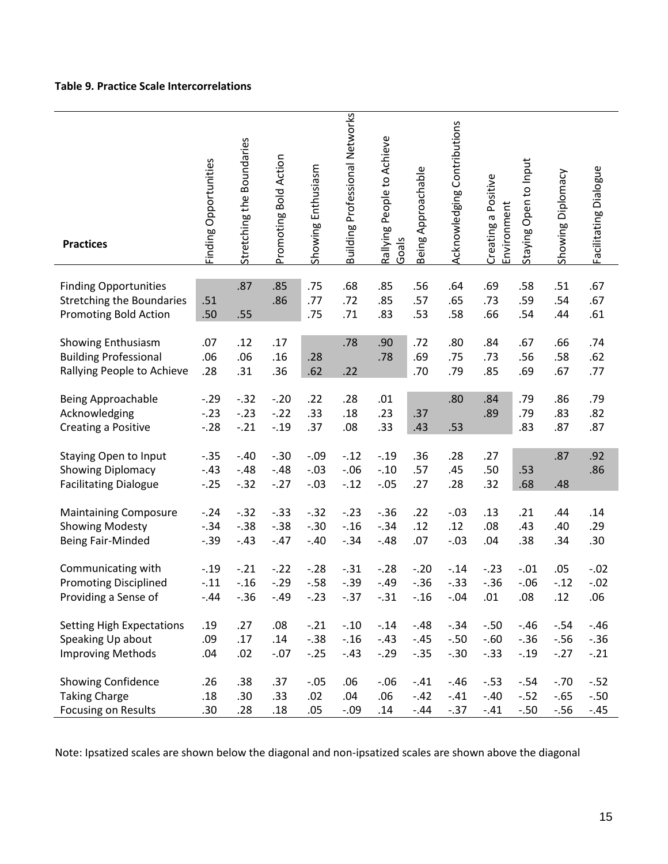# **Table 9. Practice Scale Intercorrelations**

| <b>Practices</b>                                                                          | Finding Opportunities       | Stretching the Boundaries  | Promoting Bold Action      | Showing Enthusiasm          | <b>Building Professional Networks</b> | Rallying People to Achieve<br>Goals | Being Approachable          | Acknowledging Contributions | Creating a Positive<br>Environment | Staying Open to Input      | Showing Diplomacy           | Facilitating Dialogue      |
|-------------------------------------------------------------------------------------------|-----------------------------|----------------------------|----------------------------|-----------------------------|---------------------------------------|-------------------------------------|-----------------------------|-----------------------------|------------------------------------|----------------------------|-----------------------------|----------------------------|
| <b>Finding Opportunities</b><br><b>Stretching the Boundaries</b><br>Promoting Bold Action | .51<br>.50                  | .87<br>.55                 | .85<br>.86                 | .75<br>.77<br>.75           | .68<br>.72<br>.71                     | .85<br>.85<br>.83                   | .56<br>.57<br>.53           | .64<br>.65<br>.58           | .69<br>.73<br>.66                  | .58<br>.59<br>.54          | .51<br>.54<br>.44           | .67<br>.67<br>.61          |
| Showing Enthusiasm<br><b>Building Professional</b><br>Rallying People to Achieve          | .07<br>.06<br>.28           | .12<br>.06<br>.31          | .17<br>.16<br>.36          | .28<br>.62                  | .78<br>.22                            | .90<br>.78                          | .72<br>.69<br>.70           | .80<br>.75<br>.79           | .84<br>.73<br>.85                  | .67<br>.56<br>.69          | .66<br>.58<br>.67           | .74<br>.62<br>.77          |
| Being Approachable<br>Acknowledging<br>Creating a Positive                                | $-.29$<br>$-.23$<br>$-.28$  | $-.32$<br>$-.23$<br>$-.21$ | $-.20$<br>$-.22$<br>$-.19$ | .22<br>.33<br>.37           | .28<br>.18<br>.08                     | .01<br>.23<br>.33                   | .37<br>.43                  | .80<br>.53                  | .84<br>.89                         | .79<br>.79<br>.83          | .86<br>.83<br>.87           | .79<br>.82<br>.87          |
| <b>Staying Open to Input</b><br><b>Showing Diplomacy</b><br><b>Facilitating Dialogue</b>  | $-.35$<br>$-.43$<br>$-.25$  | $-.40$<br>$-.48$<br>$-.32$ | $-.30$<br>$-.48$<br>$-.27$ | $-.09$<br>$-.03$<br>$-.03$  | $-.12$<br>$-.06$<br>$-.12$            | $-0.19$<br>$-.10$<br>$-.05$         | .36<br>.57<br>.27           | .28<br>.45<br>.28           | .27<br>.50<br>.32                  | .53<br>.68                 | .87<br>.48                  | .92<br>.86                 |
| <b>Maintaining Composure</b><br><b>Showing Modesty</b><br>Being Fair-Minded               | $-.24$<br>$-.34$<br>$-.39$  | $-.32$<br>$-.38$<br>$-.43$ | $-.33$<br>$-.38$<br>$-.47$ | $-.32$<br>$-.30$<br>$-.40$  | $-.23$<br>$-.16$<br>$-.34$            | $-0.36$<br>$-.34$<br>$-.48$         | .22<br>.12<br>.07           | $-.03$<br>.12<br>$-.03$     | .13<br>.08<br>.04                  | .21<br>.43<br>.38          | .44<br>.40<br>.34           | .14<br>.29<br>.30          |
| Communicating with<br><b>Promoting Disciplined</b><br>Providing a Sense of                | $-0.19$<br>$-.11$<br>$-.44$ | $-.21$<br>$-.16$<br>$-.36$ | $-.22$<br>$-.29$<br>$-.49$ | $-.28$<br>$-0.58$<br>$-.23$ | $-.31$<br>$-.39$<br>$-0.37$           | $-.28$<br>$-.49$<br>$-.31$          | $-.20$<br>$-.36$<br>$-0.16$ | $-.14$<br>$-.33$<br>$-.04$  | $-.23$<br>$-.36$<br>.01            | $-.01$<br>$-.06$<br>.08    | .05<br>$-.12$<br>.12        | $-.02$<br>$-.02$<br>.06    |
| <b>Setting High Expectations</b><br>Speaking Up about<br><b>Improving Methods</b>         | .19<br>.09<br>.04           | .27<br>.17<br>.02          | .08<br>.14<br>$-.07$       | $-.21$<br>$-.38$<br>$-.25$  | $-.10$<br>$-.16$<br>$-.43$            | $-.14$<br>$-.43$<br>$-.29$          | $-.48$<br>$-.45$<br>$-.35$  | $-.34$<br>$-.50$<br>$-.30$  | $-.50$<br>$-.60$<br>$-.33$         | $-.46$<br>$-.36$<br>$-.19$ | $-.54$<br>$-56$<br>$-.27$   | $-.46$<br>$-.36$<br>$-.21$ |
| <b>Showing Confidence</b><br><b>Taking Charge</b><br>Focusing on Results                  | .26<br>.18<br>.30           | .38<br>.30<br>.28          | .37<br>.33<br>.18          | $-.05$<br>.02<br>.05        | .06<br>.04<br>$-.09$                  | $-.06$<br>.06<br>.14                | $-.41$<br>$-.42$<br>$-.44$  | $-.46$<br>$-.41$<br>$-.37$  | $-.53$<br>$-.40$<br>$-.41$         | $-.54$<br>$-.52$<br>$-.50$ | $-.70$<br>$-0.65$<br>$-.56$ | $-.52$<br>$-.50$<br>$-.45$ |

Note: Ipsatized scales are shown below the diagonal and non-ipsatized scales are shown above the diagonal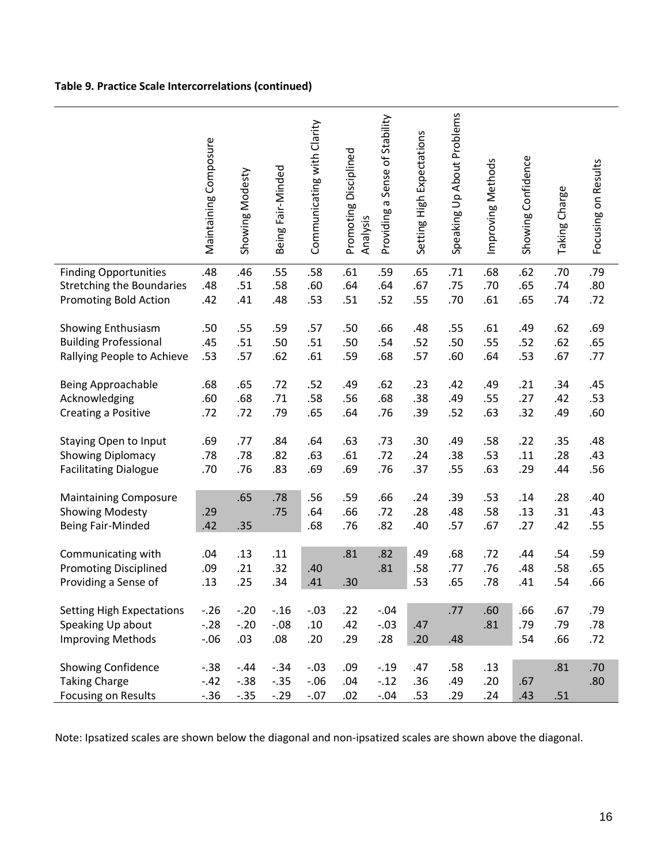# **Table 9. Practice Scale Intercorrelations (continued)**

|                                  | Maintaining Composure | Showing Modesty | Being Fair-Minded | Communicating with Clarity | Promoting Disciplined<br>Analysis | Providing a Sense of Stability | Setting High Expectations | Speaking Up About Problems | Improving Methods | Showing Confidence | Taking Charge | Focusing on Results |
|----------------------------------|-----------------------|-----------------|-------------------|----------------------------|-----------------------------------|--------------------------------|---------------------------|----------------------------|-------------------|--------------------|---------------|---------------------|
| <b>Finding Opportunities</b>     | .48                   | .46             | .55               | .58                        | .61                               | .59                            | .65                       | .71                        | .68               | .62                | .70           | .79                 |
| <b>Stretching the Boundaries</b> | .48                   | .51             | .58               | .60                        | .64                               | .64                            | .67                       | .75                        | .70               | .65                | .74           | .80                 |
|                                  |                       |                 |                   |                            |                                   |                                |                           |                            |                   |                    |               |                     |
| Promoting Bold Action            | .42                   | .41             | .48               | .53                        | .51                               | .52                            | .55                       | .70                        | .61               | .65                | .74           | .72                 |
|                                  |                       |                 |                   |                            |                                   |                                |                           |                            |                   |                    |               |                     |
| Showing Enthusiasm               | .50                   | .55             | .59               | .57                        | .50                               | .66                            | .48                       | .55                        | .61               | .49                | .62           | .69                 |
| <b>Building Professional</b>     | .45                   | .51             | .50               | .51                        | .50                               | .54                            | .52                       | .50                        | .55               | .52                | .62           | .65                 |
| Rallying People to Achieve       | .53                   | .57             | .62               | .61                        | .59                               | .68                            | .57                       | .60                        | .64               | .53                | .67           | .77                 |
|                                  |                       |                 |                   |                            |                                   |                                |                           |                            |                   |                    |               |                     |
| <b>Being Approachable</b>        | .68                   | .65             | .72               | .52                        | .49                               | .62                            | .23                       | .42                        | .49               | .21                | .34           | .45                 |
| Acknowledging                    | .60                   | .68             | .71               | .58                        | .56                               | .68                            | .38                       | .49                        | .55               | .27                | .42           | .53                 |
| Creating a Positive              | .72                   | .72             | .79               | .65                        | .64                               | .76                            | .39                       | .52                        | .63               | .32                | .49           | .60                 |
|                                  |                       |                 |                   |                            |                                   |                                |                           |                            |                   |                    |               |                     |
| <b>Staying Open to Input</b>     | .69                   | .77             | .84               | .64                        | .63                               | .73                            | .30                       | .49                        | .58               | .22                | .35           | .48                 |
| <b>Showing Diplomacy</b>         | .78                   | .78             | .82               | .63                        | .61                               | .72                            | .24                       | .38                        | .53               | .11                | .28           | .43                 |
|                                  |                       |                 |                   |                            |                                   |                                |                           |                            |                   |                    |               |                     |
| <b>Facilitating Dialogue</b>     | .70                   | .76             | .83               | .69                        | .69                               | .76                            | .37                       | .55                        | .63               | .29                | .44           | .56                 |
|                                  |                       |                 | .78               | .56                        |                                   | .66                            |                           | .39                        |                   |                    |               |                     |
| <b>Maintaining Composure</b>     |                       | .65             |                   |                            | .59                               |                                | .24                       |                            | .53               | .14                | .28           | .40                 |
| <b>Showing Modesty</b>           | .29                   |                 | .75               | .64                        | .66                               | .72                            | .28                       | .48                        | .58               | .13                | .31           | .43                 |
| Being Fair-Minded                | .42                   | .35             |                   | .68                        | .76                               | .82                            | .40                       | .57                        | .67               | .27                | .42           | .55                 |
|                                  |                       |                 |                   |                            |                                   |                                |                           |                            |                   |                    |               |                     |
| Communicating with               | .04                   | .13             | .11               |                            | .81                               | .82                            | .49                       | .68                        | .72               | .44                | .54           | .59                 |
| <b>Promoting Disciplined</b>     | .09                   | .21             | .32               | .40                        |                                   | .81                            | .58                       | .77                        | .76               | .48                | .58           | .65                 |
| Providing a Sense of             | .13                   | .25             | .34               | .41                        | .30                               |                                | .53                       | .65                        | .78               | .41                | .54           | .66                 |
|                                  |                       |                 |                   |                            |                                   |                                |                           |                            |                   |                    |               |                     |
| <b>Setting High Expectations</b> | $-.26$                | $-.20$          | $-0.16$           | $-.03$                     | .22                               | $-.04$                         |                           | .77                        | .60               | .66                | .67           | .79                 |
| Speaking Up about                | $-.28$                | $-.20$          | $-.08$            | .10                        | .42                               | $-.03$                         | .47                       |                            | .81               | .79                | .79           | .78                 |
| <b>Improving Methods</b>         | $-0.06$               | .03             | .08               | .20                        | .29                               | .28                            | .20                       | .48                        |                   | .54                | .66           | .72                 |
|                                  |                       |                 |                   |                            |                                   |                                |                           |                            |                   |                    |               |                     |
| Showing Confidence               | $-.38$                | $-.44$          | $-.34$            | $-.03$                     | .09                               | $-.19$                         | .47                       | .58                        | .13               |                    | .81           | .70                 |
| <b>Taking Charge</b>             | $-.42$                | $-.38$          | $-.35$            | $-.06$                     | .04                               | $-.12$                         | .36                       | .49                        | .20               | .67                |               | .80                 |
| <b>Focusing on Results</b>       | $-.36$                | $-.35$          | $-.29$            | $-.07$                     | .02                               | $-.04$                         | .53                       | .29                        | .24               | .43                | .51           |                     |
|                                  |                       |                 |                   |                            |                                   |                                |                           |                            |                   |                    |               |                     |

Note: Ipsatized scales are shown below the diagonal and non-ipsatized scales are shown above the diagonal.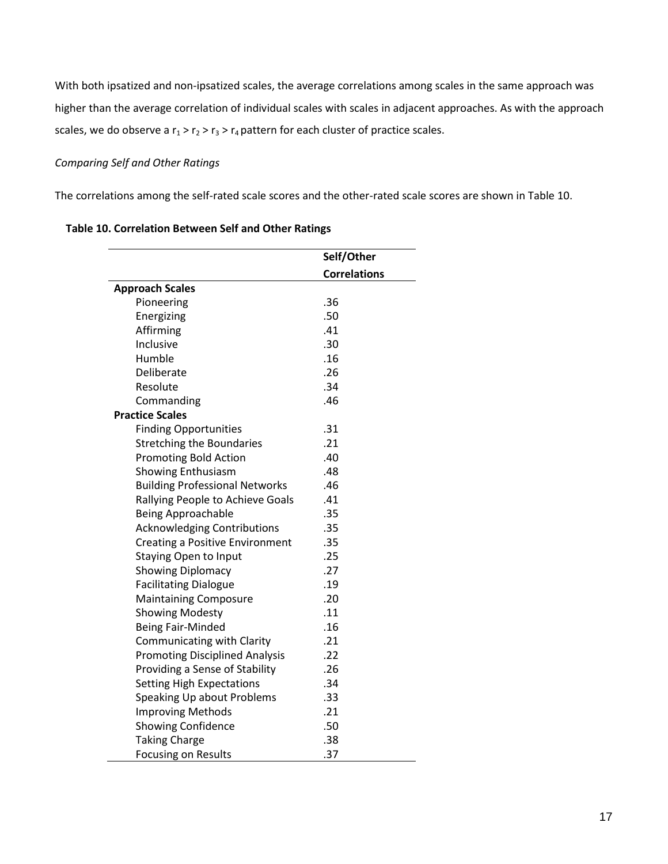With both ipsatized and non-ipsatized scales, the average correlations among scales in the same approach was higher than the average correlation of individual scales with scales in adjacent approaches. As with the approach scales, we do observe a  $r_1 > r_2 > r_3 > r_4$  pattern for each cluster of practice scales.

# *Comparing Self and Other Ratings*

The correlations among the self-rated scale scores and the other-rated scale scores are shown in Table 10.

|                                        | Self/Other          |
|----------------------------------------|---------------------|
|                                        | <b>Correlations</b> |
| <b>Approach Scales</b>                 |                     |
| Pioneering                             | .36                 |
| Energizing                             | .50                 |
| Affirming                              | .41                 |
| Inclusive                              | .30                 |
| Humble                                 | .16                 |
| Deliberate                             | .26                 |
| Resolute                               | .34                 |
| Commanding                             | .46                 |
| <b>Practice Scales</b>                 |                     |
| <b>Finding Opportunities</b>           | .31                 |
| <b>Stretching the Boundaries</b>       | .21                 |
| <b>Promoting Bold Action</b>           | .40                 |
| <b>Showing Enthusiasm</b>              | .48                 |
| <b>Building Professional Networks</b>  | .46                 |
| Rallying People to Achieve Goals       | .41                 |
| <b>Being Approachable</b>              | .35                 |
| <b>Acknowledging Contributions</b>     | .35                 |
| <b>Creating a Positive Environment</b> | .35                 |
| <b>Staying Open to Input</b>           | .25                 |
| <b>Showing Diplomacy</b>               | .27                 |
| <b>Facilitating Dialogue</b>           | .19                 |
| <b>Maintaining Composure</b>           | .20                 |
| <b>Showing Modesty</b>                 | .11                 |
| <b>Being Fair-Minded</b>               | .16                 |
| Communicating with Clarity             | .21                 |
| <b>Promoting Disciplined Analysis</b>  | .22                 |
| Providing a Sense of Stability         | .26                 |
| <b>Setting High Expectations</b>       | .34                 |
| Speaking Up about Problems             | .33                 |
| <b>Improving Methods</b>               | .21                 |
| <b>Showing Confidence</b>              | .50                 |
| <b>Taking Charge</b>                   | .38                 |
| <b>Focusing on Results</b>             | .37                 |

# **Table 10. Correlation Between Self and Other Ratings**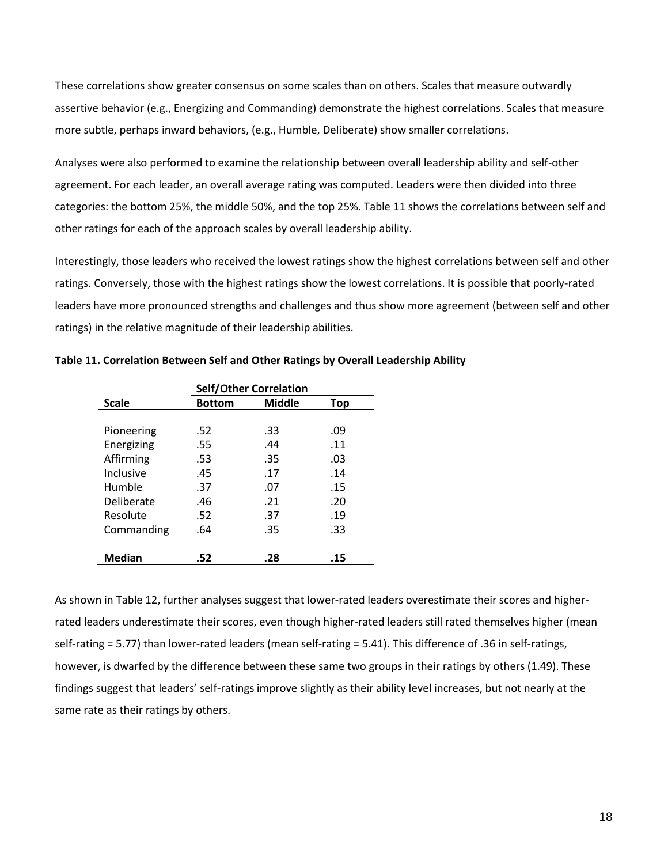These correlations show greater consensus on some scales than on others. Scales that measure outwardly assertive behavior (e.g., Energizing and Commanding) demonstrate the highest correlations. Scales that measure more subtle, perhaps inward behaviors, (e.g., Humble, Deliberate) show smaller correlations.

Analyses were also performed to examine the relationship between overall leadership ability and self-other agreement. For each leader, an overall average rating was computed. Leaders were then divided into three categories: the bottom 25%, the middle 50%, and the top 25%. Table 11 shows the correlations between self and other ratings for each of the approach scales by overall leadership ability.

Interestingly, those leaders who received the lowest ratings show the highest correlations between self and other ratings. Conversely, those with the highest ratings show the lowest correlations. It is possible that poorly-rated leaders have more pronounced strengths and challenges and thus show more agreement (between self and other ratings) in the relative magnitude of their leadership abilities.

|               | <b>Self/Other Correlation</b> |               |     |  |  |  |
|---------------|-------------------------------|---------------|-----|--|--|--|
| <b>Scale</b>  | <b>Bottom</b>                 | <b>Middle</b> | Top |  |  |  |
|               |                               |               |     |  |  |  |
| Pioneering    | .52                           | .33           | .09 |  |  |  |
| Energizing    | .55                           | .44           | .11 |  |  |  |
| Affirming     | .53                           | .35           | .03 |  |  |  |
| Inclusive     | .45                           | .17           | .14 |  |  |  |
| Humble        | .37                           | .07           | .15 |  |  |  |
| Deliberate    | .46                           | .21           | .20 |  |  |  |
| Resolute      | .52                           | .37           | .19 |  |  |  |
| Commanding    | .64                           | .35           | .33 |  |  |  |
|               |                               |               |     |  |  |  |
| <b>Median</b> | .52                           | .28           | .15 |  |  |  |

**Table 11. Correlation Between Self and Other Ratings by Overall Leadership Ability**

As shown in Table 12, further analyses suggest that lower-rated leaders overestimate their scores and higherrated leaders underestimate their scores, even though higher-rated leaders still rated themselves higher (mean self-rating = 5.77) than lower-rated leaders (mean self-rating = 5.41). This difference of .36 in self-ratings, however, is dwarfed by the difference between these same two groups in their ratings by others (1.49). These findings suggest that leaders' self-ratings improve slightly as their ability level increases, but not nearly at the same rate as their ratings by others.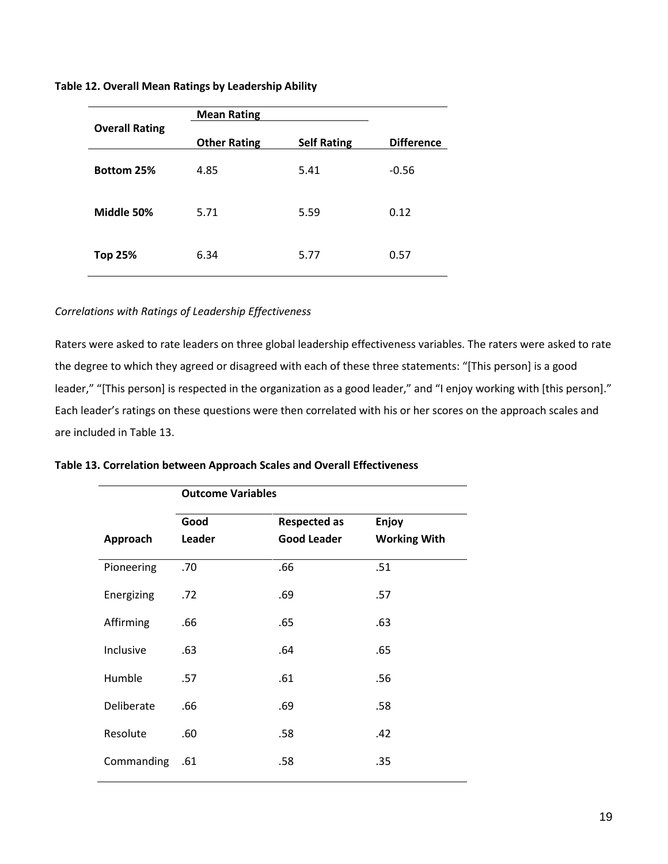**Table 12. Overall Mean Ratings by Leadership Ability**

|                       | <b>Mean Rating</b>  |                    |                   |  |
|-----------------------|---------------------|--------------------|-------------------|--|
| <b>Overall Rating</b> | <b>Other Rating</b> | <b>Self Rating</b> | <b>Difference</b> |  |
| Bottom 25%            | 4.85                | 5.41               | $-0.56$           |  |
| Middle 50%            | 5.71                | 5.59               | 0.12              |  |
| <b>Top 25%</b>        | 6.34                | 5.77               | 0.57              |  |

# *Correlations with Ratings of Leadership Effectiveness*

Raters were asked to rate leaders on three global leadership effectiveness variables. The raters were asked to rate the degree to which they agreed or disagreed with each of these three statements: "[This person] is a good leader," "[This person] is respected in the organization as a good leader," and "I enjoy working with [this person]." Each leader's ratings on these questions were then correlated with his or her scores on the approach scales and are included in Table 13.

|  |  |  |  |  |  | Table 13. Correlation between Approach Scales and Overall Effectiveness |
|--|--|--|--|--|--|-------------------------------------------------------------------------|
|--|--|--|--|--|--|-------------------------------------------------------------------------|

|            | <b>Outcome Variables</b> |                     |                     |  |  |  |
|------------|--------------------------|---------------------|---------------------|--|--|--|
|            | Good                     | <b>Respected as</b> | Enjoy               |  |  |  |
| Approach   | Leader                   | <b>Good Leader</b>  | <b>Working With</b> |  |  |  |
| Pioneering | .70                      | .66                 | .51                 |  |  |  |
| Energizing | .72                      | .69                 | .57                 |  |  |  |
| Affirming  | .66                      | .65                 | .63                 |  |  |  |
| Inclusive  | .63                      | .64                 | .65                 |  |  |  |
| Humble     | .57                      | .61                 | .56                 |  |  |  |
| Deliberate | .66                      | .69                 | .58                 |  |  |  |
| Resolute   | .60                      | .58                 | .42                 |  |  |  |
| Commanding | .61                      | .58                 | .35                 |  |  |  |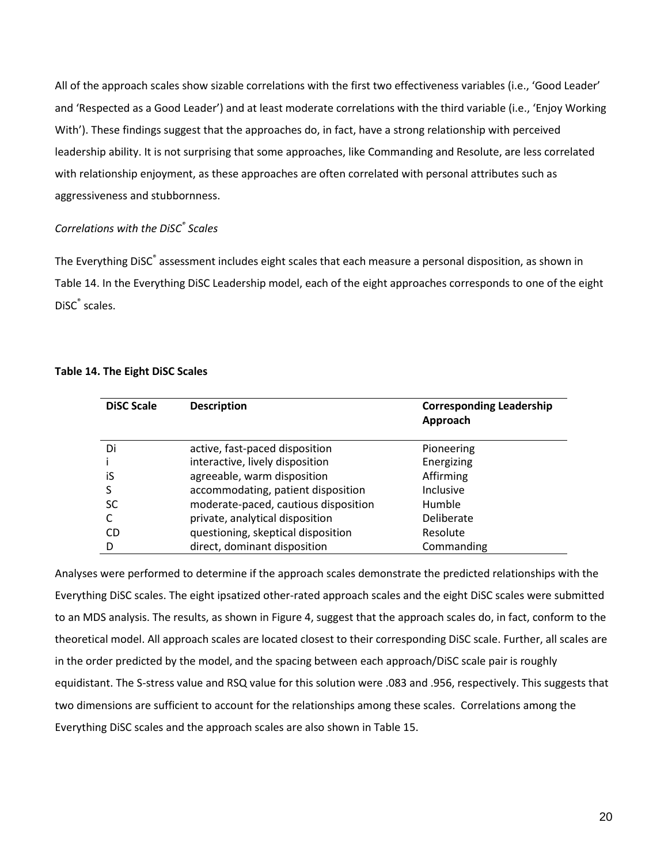All of the approach scales show sizable correlations with the first two effectiveness variables (i.e., 'Good Leader' and 'Respected as a Good Leader') and at least moderate correlations with the third variable (i.e., 'Enjoy Working With'). These findings suggest that the approaches do, in fact, have a strong relationship with perceived leadership ability. It is not surprising that some approaches, like Commanding and Resolute, are less correlated with relationship enjoyment, as these approaches are often correlated with personal attributes such as aggressiveness and stubbornness.

# *Correlations with the DiSC® Scales*

The Everything DiSC<sup>®</sup> assessment includes eight scales that each measure a personal disposition, as shown in Table 14. In the Everything DiSC Leadership model, each of the eight approaches corresponds to one of the eight DiSC<sup>®</sup> scales.

# **Table 14. The Eight DiSC Scales**

| <b>DiSC Scale</b> | <b>Description</b>                   | <b>Corresponding Leadership</b><br>Approach |
|-------------------|--------------------------------------|---------------------------------------------|
| Di                | active, fast-paced disposition       | Pioneering                                  |
|                   | interactive, lively disposition      | Energizing                                  |
| iS                | agreeable, warm disposition          | Affirming                                   |
| S                 | accommodating, patient disposition   | <b>Inclusive</b>                            |
| SC                | moderate-paced, cautious disposition | Humble                                      |
|                   | private, analytical disposition      | Deliberate                                  |
| CD                | questioning, skeptical disposition   | Resolute                                    |
|                   | direct, dominant disposition         | Commanding                                  |

Analyses were performed to determine if the approach scales demonstrate the predicted relationships with the Everything DiSC scales. The eight ipsatized other-rated approach scales and the eight DiSC scales were submitted to an MDS analysis. The results, as shown in Figure 4, suggest that the approach scales do, in fact, conform to the theoretical model. All approach scales are located closest to their corresponding DiSC scale. Further, all scales are in the order predicted by the model, and the spacing between each approach/DiSC scale pair is roughly equidistant. The S-stress value and RSQ value for this solution were .083 and .956, respectively. This suggests that two dimensions are sufficient to account for the relationships among these scales. Correlations among the Everything DiSC scales and the approach scales are also shown in Table 15.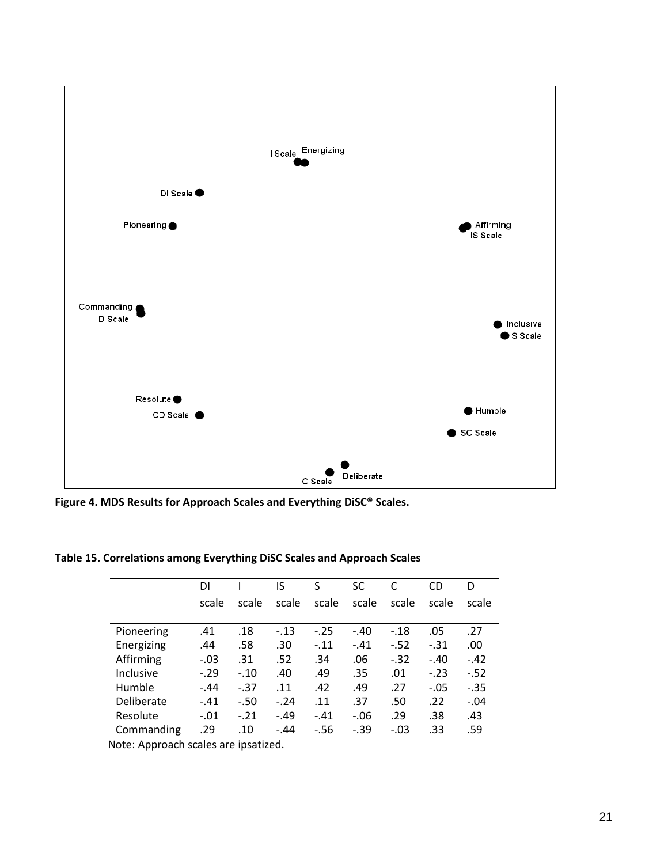

**Figure 4. MDS Results for Approach Scales and Everything DiSC® Scales.**

|            | DI     |        | IS     | S      | <b>SC</b> |        | CD     | D      |
|------------|--------|--------|--------|--------|-----------|--------|--------|--------|
|            | scale  | scale  | scale  | scale  | scale     | scale  | scale  | scale  |
|            |        |        |        |        |           |        |        |        |
| Pioneering | .41    | .18    | $-.13$ | $-.25$ | $-.40$    | $-.18$ | .05    | .27    |
| Energizing | .44    | .58    | .30    | $-.11$ | $-41$     | $-.52$ | $-.31$ | .00    |
| Affirming  | $-.03$ | .31    | .52    | .34    | .06       | $-.32$ | $-.40$ | $-.42$ |
| Inclusive  | $-.29$ | $-.10$ | .40    | .49    | .35       | .01    | $-.23$ | $-.52$ |
| Humble     | $-.44$ | $-37$  | .11    | .42    | .49       | .27    | $-.05$ | $-.35$ |
| Deliberate | $-.41$ | $-.50$ | $-.24$ | .11    | .37       | .50    | .22    | $-.04$ |
| Resolute   | $-.01$ | $-.21$ | $-.49$ | $-.41$ | $-.06$    | .29    | .38    | .43    |
| Commanding | .29    | .10    | $-.44$ | $-56$  | $-0.39$   | $-.03$ | .33    | .59    |

**Table 15. Correlations among Everything DiSC Scales and Approach Scales**

Note: Approach scales are ipsatized.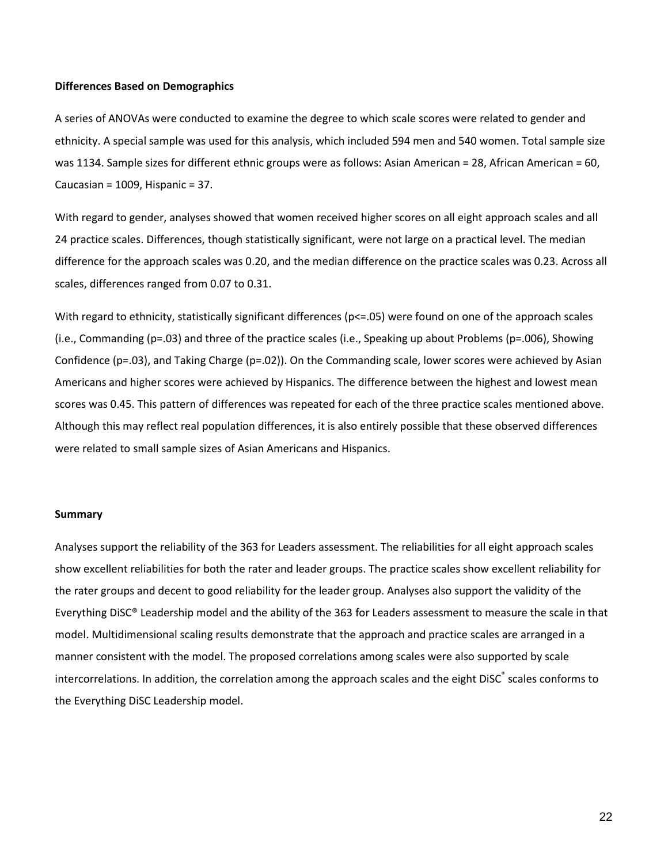#### **Differences Based on Demographics**

A series of ANOVAs were conducted to examine the degree to which scale scores were related to gender and ethnicity. A special sample was used for this analysis, which included 594 men and 540 women. Total sample size was 1134. Sample sizes for different ethnic groups were as follows: Asian American = 28, African American = 60, Caucasian = 1009, Hispanic = 37.

With regard to gender, analyses showed that women received higher scores on all eight approach scales and all 24 practice scales. Differences, though statistically significant, were not large on a practical level. The median difference for the approach scales was 0.20, and the median difference on the practice scales was 0.23. Across all scales, differences ranged from 0.07 to 0.31.

With regard to ethnicity, statistically significant differences ( $p\leq 0.05$ ) were found on one of the approach scales (i.e., Commanding (p=.03) and three of the practice scales (i.e., Speaking up about Problems (p=.006), Showing Confidence (p=.03), and Taking Charge (p=.02)). On the Commanding scale, lower scores were achieved by Asian Americans and higher scores were achieved by Hispanics. The difference between the highest and lowest mean scores was 0.45. This pattern of differences was repeated for each of the three practice scales mentioned above. Although this may reflect real population differences, it is also entirely possible that these observed differences were related to small sample sizes of Asian Americans and Hispanics.

#### **Summary**

Analyses support the reliability of the 363 for Leaders assessment. The reliabilities for all eight approach scales show excellent reliabilities for both the rater and leader groups. The practice scales show excellent reliability for the rater groups and decent to good reliability for the leader group. Analyses also support the validity of the Everything DiSC® Leadership model and the ability of the 363 for Leaders assessment to measure the scale in that model. Multidimensional scaling results demonstrate that the approach and practice scales are arranged in a manner consistent with the model. The proposed correlations among scales were also supported by scale intercorrelations. In addition, the correlation among the approach scales and the eight DiSC<sup>®</sup> scales conforms to the Everything DiSC Leadership model.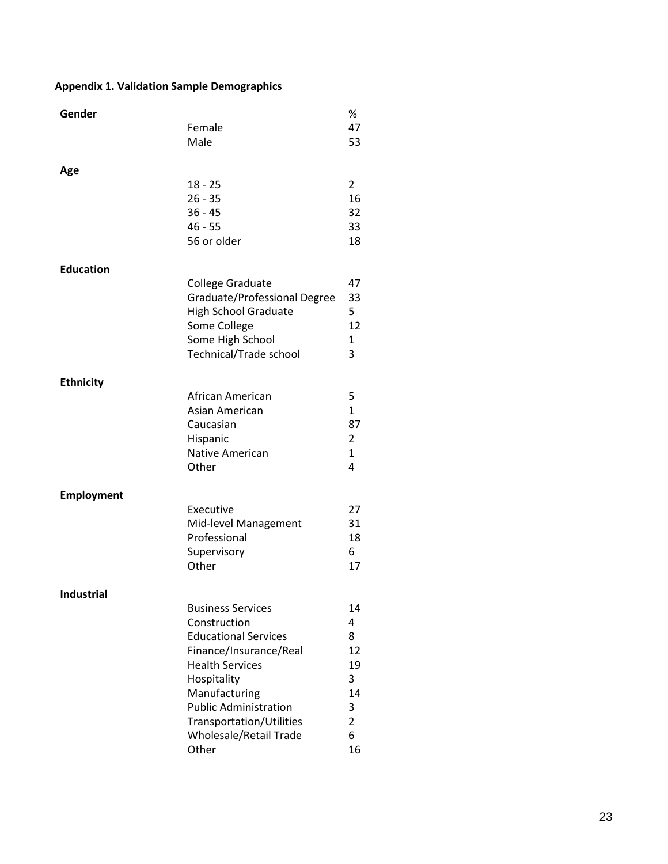# **Appendix 1. Validation Sample Demographics**

| Gender            | Female                                                                                                                                                                                                                                                     | %<br>47                                                               |
|-------------------|------------------------------------------------------------------------------------------------------------------------------------------------------------------------------------------------------------------------------------------------------------|-----------------------------------------------------------------------|
|                   | Male                                                                                                                                                                                                                                                       | 53                                                                    |
| Age               | $18 - 25$<br>$26 - 35$<br>$36 - 45$<br>$46 - 55$<br>56 or older                                                                                                                                                                                            | $\overline{2}$<br>16<br>32<br>33<br>18                                |
| <b>Education</b>  | College Graduate<br>Graduate/Professional Degree<br><b>High School Graduate</b><br>Some College<br>Some High School<br>Technical/Trade school                                                                                                              | 47<br>33<br>5<br>12<br>1<br>3                                         |
| <b>Ethnicity</b>  | African American<br>Asian American<br>Caucasian<br>Hispanic<br><b>Native American</b><br>Other                                                                                                                                                             | 5<br>$\mathbf{1}$<br>87<br>$\overline{2}$<br>$\mathbf{1}$<br>4        |
| <b>Employment</b> | Executive<br>Mid-level Management<br>Professional<br>Supervisory<br>Other                                                                                                                                                                                  | 27<br>31<br>18<br>6<br>17                                             |
| <b>Industrial</b> | <b>Business Services</b><br>Construction<br><b>Educational Services</b><br>Finance/Insurance/Real<br><b>Health Services</b><br>Hospitality<br>Manufacturing<br><b>Public Administration</b><br>Transportation/Utilities<br>Wholesale/Retail Trade<br>Other | 14<br>4<br>8<br>12<br>19<br>3<br>14<br>3<br>$\overline{2}$<br>6<br>16 |